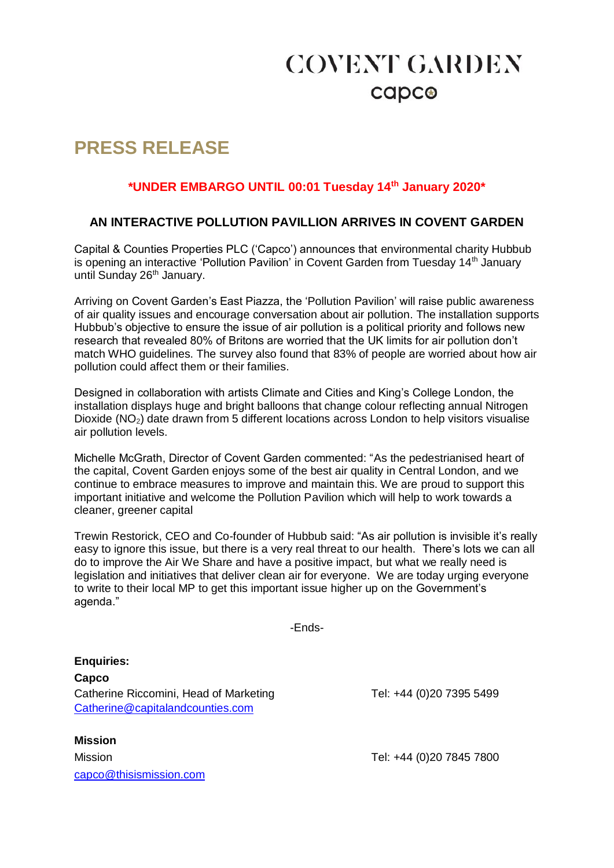# **COVENT GARDEN** capco

## **PRESS RELEASE**

### **\*UNDER EMBARGO UNTIL 00:01 Tuesday 14th January 2020\***

### **AN INTERACTIVE POLLUTION PAVILLION ARRIVES IN COVENT GARDEN**

Capital & Counties Properties PLC ('Capco') announces that environmental charity Hubbub is opening an interactive 'Pollution Pavilion' in Covent Garden from Tuesday 14<sup>th</sup> January until Sunday 26<sup>th</sup> January.

Arriving on Covent Garden's East Piazza, the 'Pollution Pavilion' will raise public awareness of air quality issues and encourage conversation about air pollution. The installation supports Hubbub's objective to ensure the issue of air pollution is a political priority and follows new research that revealed 80% of Britons are worried that the UK limits for air pollution don't match WHO guidelines. The survey also found that 83% of people are worried about how air pollution could affect them or their families.

Designed in collaboration with artists Climate and Cities and King's College London, the installation displays huge and bright balloons that change colour reflecting annual Nitrogen Dioxide (NO2) date drawn from 5 different locations across London to help visitors visualise air pollution levels.

Michelle McGrath, Director of Covent Garden commented: "As the pedestrianised heart of the capital, Covent Garden enjoys some of the best air quality in Central London, and we continue to embrace measures to improve and maintain this. We are proud to support this important initiative and welcome the Pollution Pavilion which will help to work towards a cleaner, greener capital

Trewin Restorick, CEO and Co-founder of Hubbub said: "As air pollution is invisible it's really easy to ignore this issue, but there is a very real threat to our health. There's lots we can all do to improve the Air We Share and have a positive impact, but what we really need is legislation and initiatives that deliver clean air for everyone. We are today urging everyone to write to their local MP to get this important issue higher up on the Government's agenda."

-Ends-

**Enquiries: Capco** Catherine Riccomini, Head of Marketing Tel: +44 (0)20 7395 5499 [Catherine@capitalandcounties.com](mailto:Catherine@capitalandcounties.com)

**Mission** Mission Tel: +44 (0)20 7845 7800 [capco@thisismission.com](mailto:capco@thisismission.com)